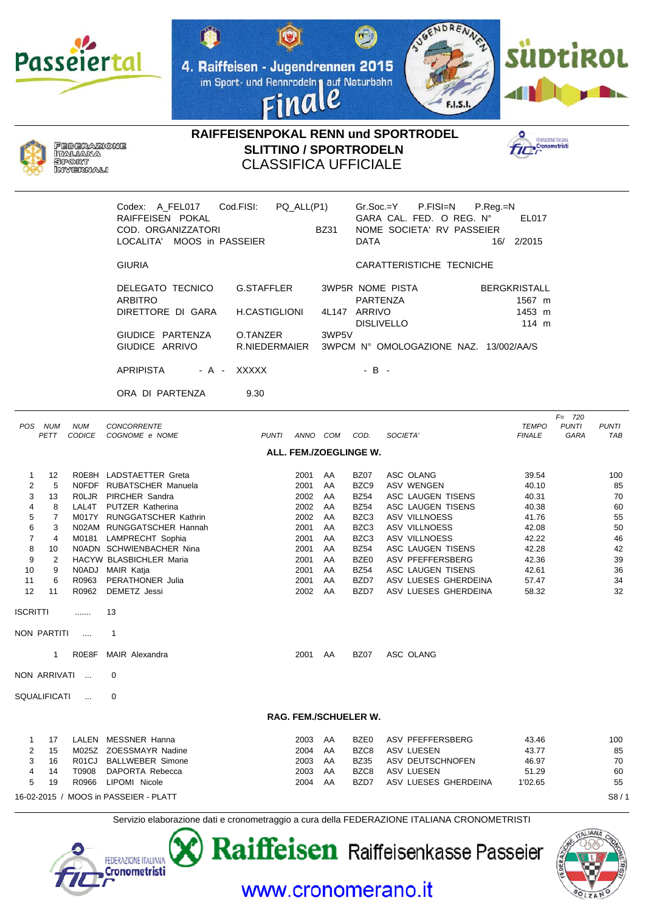







**RAIFFEISENPOKAL RENN und SPORTRODEL SLITTINO / SPORTRODELN** CLASSIFICA UFFICIALE



|                                                             |                                                                                        |                             | Codex: A FEL017<br>RAIFFEISEN POKAL<br>COD. ORGANIZZATORI<br>LOCALITA' MOOS in PASSEIER                                                                                                                                                                                                                          | Cod.FISI:                          | PQ_ALL(P1)                                                                                   | BZ31                                                                 | $Gr.Soc = Y$<br><b>DATA</b>                                                                                                     | P.FISI=N                                                                                                                                                                                         | $P_{\cdot}$ Reg $_{\cdot}$ =N<br>GARA CAL. FED. O REG. Nº<br>NOME SOCIETA' RV PASSEIER | EL017<br>16/ 2/2015                                                                                      |                                   |                                                                       |
|-------------------------------------------------------------|----------------------------------------------------------------------------------------|-----------------------------|------------------------------------------------------------------------------------------------------------------------------------------------------------------------------------------------------------------------------------------------------------------------------------------------------------------|------------------------------------|----------------------------------------------------------------------------------------------|----------------------------------------------------------------------|---------------------------------------------------------------------------------------------------------------------------------|--------------------------------------------------------------------------------------------------------------------------------------------------------------------------------------------------|----------------------------------------------------------------------------------------|----------------------------------------------------------------------------------------------------------|-----------------------------------|-----------------------------------------------------------------------|
|                                                             |                                                                                        |                             | <b>GIURIA</b>                                                                                                                                                                                                                                                                                                    |                                    |                                                                                              |                                                                      |                                                                                                                                 |                                                                                                                                                                                                  | CARATTERISTICHE TECNICHE                                                               |                                                                                                          |                                   |                                                                       |
|                                                             |                                                                                        |                             | DELEGATO TECNICO<br>ARBITRO<br>DIRETTORE DI GARA                                                                                                                                                                                                                                                                 | <b>G.STAFFLER</b><br>H.CASTIGLIONI |                                                                                              |                                                                      | <b>PARTENZA</b><br>4L147 ARRIVO                                                                                                 | 3WP5R NOME PISTA                                                                                                                                                                                 |                                                                                        | <b>BERGKRISTALL</b><br>1567 m<br>1453 m                                                                  |                                   |                                                                       |
|                                                             |                                                                                        |                             | GIUDICE PARTENZA<br>GIUDICE ARRIVO                                                                                                                                                                                                                                                                               | O.TANZER<br>R.NIEDERMAIER          |                                                                                              | 3WP5V                                                                |                                                                                                                                 | <b>DISLIVELLO</b>                                                                                                                                                                                | 3WPCM N° OMOLOGAZIONE NAZ. 13/002/AA/S                                                 | 114 m                                                                                                    |                                   |                                                                       |
|                                                             |                                                                                        |                             | <b>APRIPISTA</b><br>- A -                                                                                                                                                                                                                                                                                        | <b>XXXXX</b>                       |                                                                                              |                                                                      | $-B -$                                                                                                                          |                                                                                                                                                                                                  |                                                                                        |                                                                                                          |                                   |                                                                       |
|                                                             |                                                                                        |                             | ORA DI PARTENZA                                                                                                                                                                                                                                                                                                  | 9.30                               |                                                                                              |                                                                      |                                                                                                                                 |                                                                                                                                                                                                  |                                                                                        |                                                                                                          |                                   |                                                                       |
|                                                             | POS NUM<br>PETT                                                                        | <b>NUM</b><br><b>CODICE</b> | <b>CONCORRENTE</b><br>COGNOME e NOME                                                                                                                                                                                                                                                                             | <b>PUNTI</b>                       | ANNO COM                                                                                     |                                                                      | COD.                                                                                                                            | SOCIETA'                                                                                                                                                                                         |                                                                                        | <b>TEMPO</b><br><b>FINALE</b>                                                                            | $F = 720$<br><b>PUNTI</b><br>GARA | <b>PUNTI</b><br><b>TAB</b>                                            |
|                                                             |                                                                                        |                             |                                                                                                                                                                                                                                                                                                                  |                                    |                                                                                              | ALL. FEM./ZOEGLINGE W.                                               |                                                                                                                                 |                                                                                                                                                                                                  |                                                                                        |                                                                                                          |                                   |                                                                       |
| 1<br>2<br>3<br>4<br>5<br>6<br>7<br>8<br>9<br>10<br>11<br>12 | 12<br>5<br>13<br>8<br>7<br>3<br>$\overline{4}$<br>10<br>$\overline{2}$<br>9<br>6<br>11 | R0963<br>R0962              | R0E8H LADSTAETTER Greta<br>NOFDF RUBATSCHER Manuela<br>ROLJR PIRCHER Sandra<br>LAL4T PUTZER Katherina<br>M017Y RUNGGATSCHER Kathrin<br>N02AM RUNGGATSCHER Hannah<br>M0181 LAMPRECHT Sophia<br>N0ADN SCHWIENBACHER Nina<br>HACYW BLASBICHLER Maria<br>N0ADJ MAIR Katja<br>PERATHONER Julia<br><b>DEMETZ</b> Jessi |                                    | 2001<br>2001<br>2002<br>2002<br>2002<br>2001<br>2001<br>2001<br>2001<br>2001<br>2001<br>2002 | AA<br>AA<br>AA<br>AA<br>AA<br>AA<br>AA<br>AA<br>AA<br>AA<br>AA<br>AA | <b>BZ07</b><br>BZC9<br><b>BZ54</b><br><b>BZ54</b><br>BZC3<br>BZC3<br>BZC3<br><b>BZ54</b><br>BZE0<br><b>BZ54</b><br>BZD7<br>BZD7 | ASC OLANG<br>ASV WENGEN<br>ASC LAUGEN TISENS<br>ASC LAUGEN TISENS<br>ASV VILLNOESS<br><b>ASV VILLNOESS</b><br><b>ASV VILLNOESS</b><br>ASC LAUGEN TISENS<br>ASV PFEFFERSBERG<br>ASC LAUGEN TISENS | ASV LUESES GHERDEINA<br>ASV LUESES GHERDEINA                                           | 39.54<br>40.10<br>40.31<br>40.38<br>41.76<br>42.08<br>42.22<br>42.28<br>42.36<br>42.61<br>57.47<br>58.32 |                                   | 100<br>85<br>70<br>60<br>55<br>50<br>46<br>42<br>39<br>36<br>34<br>32 |
| ISCRITTI                                                    |                                                                                        | .                           | 13                                                                                                                                                                                                                                                                                                               |                                    |                                                                                              |                                                                      |                                                                                                                                 |                                                                                                                                                                                                  |                                                                                        |                                                                                                          |                                   |                                                                       |
|                                                             | NON PARTITI                                                                            | $\sim$                      | $\mathbf 1$                                                                                                                                                                                                                                                                                                      |                                    |                                                                                              |                                                                      |                                                                                                                                 |                                                                                                                                                                                                  |                                                                                        |                                                                                                          |                                   |                                                                       |
|                                                             | 1                                                                                      | R0E8F                       | MAIR Alexandra                                                                                                                                                                                                                                                                                                   |                                    | 2001 AA                                                                                      |                                                                      | <b>BZ07</b>                                                                                                                     | ASC OLANG                                                                                                                                                                                        |                                                                                        |                                                                                                          |                                   |                                                                       |
|                                                             | NON ARRIVATI                                                                           | $\overline{\phantom{a}}$    | 0                                                                                                                                                                                                                                                                                                                |                                    |                                                                                              |                                                                      |                                                                                                                                 |                                                                                                                                                                                                  |                                                                                        |                                                                                                          |                                   |                                                                       |
|                                                             | SQUALIFICATI                                                                           | $\overline{\phantom{a}}$    | 0                                                                                                                                                                                                                                                                                                                |                                    |                                                                                              |                                                                      |                                                                                                                                 |                                                                                                                                                                                                  |                                                                                        |                                                                                                          |                                   |                                                                       |
|                                                             |                                                                                        |                             |                                                                                                                                                                                                                                                                                                                  |                                    |                                                                                              | RAG. FEM./SCHUELER W.                                                |                                                                                                                                 |                                                                                                                                                                                                  |                                                                                        |                                                                                                          |                                   |                                                                       |
| 1<br>2<br>3<br>4<br>5                                       | 17<br>15<br>16<br>14<br>19                                                             | T0908                       | LALEN MESSNER Hanna<br>M025Z ZOESSMAYR Nadine<br>R01CJ BALLWEBER Simone<br>DAPORTA Rebecca<br>R0966 LIPOMI Nicole                                                                                                                                                                                                |                                    | 2003 AA<br>2004<br>2003 AA<br>2003<br>2004 AA                                                | AA<br>AA                                                             | BZE0<br>BZC8<br><b>BZ35</b><br>BZC8<br>BZD7                                                                                     | ASV PFEFFERSBERG<br>ASV LUESEN<br>ASV DEUTSCHNOFEN<br><b>ASV LUESEN</b>                                                                                                                          | ASV LUESES GHERDEINA                                                                   | 43.46<br>43.77<br>46.97<br>51.29<br>1'02.65                                                              |                                   | 100<br>85<br>70<br>60<br>55                                           |
|                                                             |                                                                                        |                             | 16-02-2015 / MOOS in PASSEIER - PLATT                                                                                                                                                                                                                                                                            |                                    |                                                                                              |                                                                      |                                                                                                                                 |                                                                                                                                                                                                  |                                                                                        |                                                                                                          |                                   | S8/1                                                                  |

Servizio elaborazione dati e cronometraggio a cura della FEDERAZIONE ITALIANA CRONOMETRISTI

www.cronomerano.it



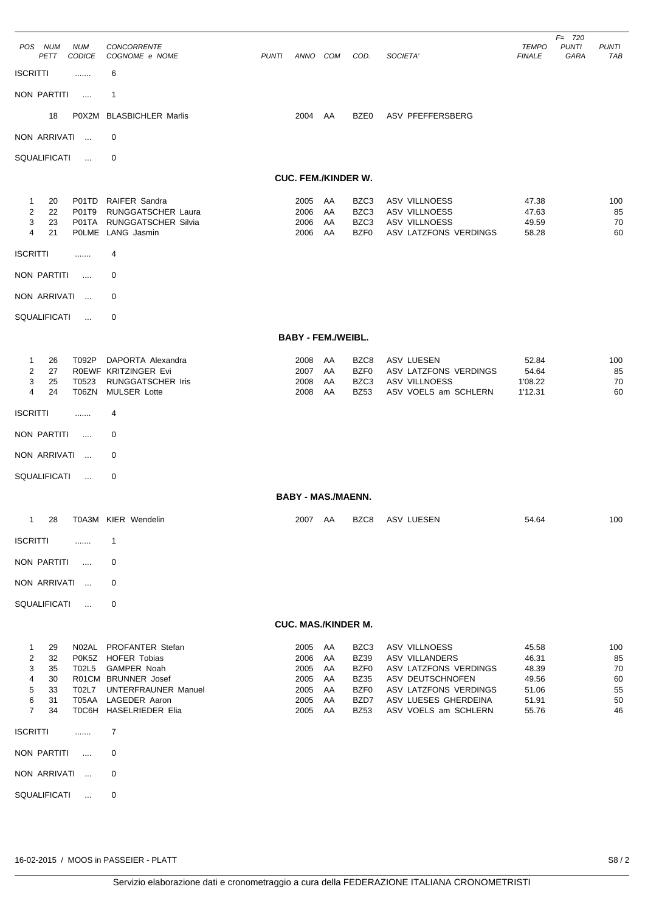| POS NUM                    |                            | <b>NUM</b>         | <b>CONCORRENTE</b>                               |              |                           |          |                     |                                               | <b>TEMPO</b>     | $F = 720$<br><b>PUNTI</b> | <b>PUNTI</b> |  |  |
|----------------------------|----------------------------|--------------------|--------------------------------------------------|--------------|---------------------------|----------|---------------------|-----------------------------------------------|------------------|---------------------------|--------------|--|--|
| <b>ISCRITTI</b>            | PETT                       | <b>CODICE</b><br>. | COGNOME e NOME<br>6                              | <b>PUNTI</b> | ANNO COM                  |          | COD.                | SOCIETA'                                      | <b>FINALE</b>    | GARA                      | TAB          |  |  |
| NON PARTITI                |                            | $\cdots$           | $\mathbf 1$                                      |              |                           |          |                     |                                               |                  |                           |              |  |  |
|                            | 18                         | P0X2M              | <b>BLASBICHLER Marlis</b>                        |              | 2004                      | AA       | BZE0                | ASV PFEFFERSBERG                              |                  |                           |              |  |  |
| NON ARRIVATI               |                            |                    | 0                                                |              |                           |          |                     |                                               |                  |                           |              |  |  |
| SQUALIFICATI               |                            | $\ddotsc$          | 0                                                |              |                           |          |                     |                                               |                  |                           |              |  |  |
|                            | <b>CUC. FEM./KINDER W.</b> |                    |                                                  |              |                           |          |                     |                                               |                  |                           |              |  |  |
| 1                          | 20                         |                    | P01TD RAIFER Sandra                              |              | 2005                      | AA       | BZC3                | <b>ASV VILLNOESS</b>                          | 47.38            |                           | 100          |  |  |
| 2                          | 22                         | P01T9              | RUNGGATSCHER Laura                               |              | 2006                      | AA       | BZC3                | ASV VILLNOESS                                 | 47.63            |                           | 85           |  |  |
| 3<br>4                     | 23<br>21                   | P01TA              | RUNGGATSCHER Silvia<br>POLME LANG Jasmin         |              | 2006<br>2006              | AA<br>AA | BZC3<br>BZF0        | <b>ASV VILLNOESS</b><br>ASV LATZFONS VERDINGS | 49.59<br>58.28   |                           | 70<br>60     |  |  |
| <b>ISCRITTI</b>            |                            | .                  | 4                                                |              |                           |          |                     |                                               |                  |                           |              |  |  |
| NON PARTITI                |                            | $\cdots$           | 0                                                |              |                           |          |                     |                                               |                  |                           |              |  |  |
| NON ARRIVATI               |                            | $\cdots$           | 0                                                |              |                           |          |                     |                                               |                  |                           |              |  |  |
| <b>SQUALIFICATI</b>        |                            | $\cdots$           | 0                                                |              |                           |          |                     |                                               |                  |                           |              |  |  |
|                            |                            |                    |                                                  |              | <b>BABY - FEM./WEIBL.</b> |          |                     |                                               |                  |                           |              |  |  |
| $\mathbf{1}$               | 26                         | T092P              | DAPORTA Alexandra                                |              | 2008                      | AA       | BZC8                | ASV LUESEN                                    | 52.84            |                           | 100          |  |  |
| 2<br>3                     | 27<br>25                   | T0523              | ROEWF KRITZINGER Evi<br>RUNGGATSCHER Iris        |              | 2007<br>2008              | AA<br>AA | BZF0<br>BZC3        | ASV LATZFONS VERDINGS<br><b>ASV VILLNOESS</b> | 54.64<br>1'08.22 |                           | 85<br>70     |  |  |
| 4                          | 24                         | T06ZN              | <b>MULSER Lotte</b>                              |              | 2008                      | AA       | <b>BZ53</b>         | ASV VOELS am SCHLERN                          | 1'12.31          |                           | 60           |  |  |
| <b>ISCRITTI</b>            |                            |                    | 4                                                |              |                           |          |                     |                                               |                  |                           |              |  |  |
| NON PARTITI                |                            | $\cdots$           | 0                                                |              |                           |          |                     |                                               |                  |                           |              |  |  |
| NON ARRIVATI               |                            | $\ddotsc$          | 0                                                |              |                           |          |                     |                                               |                  |                           |              |  |  |
| SQUALIFICATI               |                            | $\ldots$           | 0                                                |              |                           |          |                     |                                               |                  |                           |              |  |  |
|                            |                            |                    |                                                  |              | <b>BABY - MAS./MAENN.</b> |          |                     |                                               |                  |                           |              |  |  |
|                            |                            |                    | 1 28 T0A3M KIER Wendelin                         |              |                           |          |                     | 2007 AA BZC8 ASV LUESEN                       | 54.64            |                           | 100          |  |  |
| <b>ISCRITTI</b>            |                            | .                  | $\mathbf{1}$                                     |              |                           |          |                     |                                               |                  |                           |              |  |  |
| NON PARTITI                |                            | $\cdots$           | 0                                                |              |                           |          |                     |                                               |                  |                           |              |  |  |
| NON ARRIVATI               |                            | $\ldots$           | 0                                                |              |                           |          |                     |                                               |                  |                           |              |  |  |
| SQUALIFICATI               |                            | $\ldots$           | 0                                                |              |                           |          |                     |                                               |                  |                           |              |  |  |
| <b>CUC. MAS./KINDER M.</b> |                            |                    |                                                  |              |                           |          |                     |                                               |                  |                           |              |  |  |
| $\mathbf{1}$               | 29                         |                    | N02AL PROFANTER Stefan                           |              | 2005 AA                   |          | BZC3                | ASV VILLNOESS                                 | 45.58            |                           | 100          |  |  |
| $\overline{2}$<br>3        | 32<br>35                   |                    | P0K5Z HOFER Tobias<br>T02L5 GAMPER Noah          |              | 2006<br>2005              | AA<br>AA | <b>BZ39</b><br>BZF0 | ASV VILLANDERS<br>ASV LATZFONS VERDINGS       | 46.31<br>48.39   |                           | 85<br>70     |  |  |
| $\overline{4}$             | 30<br>33                   |                    | R01CM BRUNNER Josef                              |              | 2005                      | AA<br>AA | <b>BZ35</b>         | ASV DEUTSCHNOFEN<br>ASV LATZFONS VERDINGS     | 49.56            |                           | 60<br>55     |  |  |
| 5<br>6                     | 31                         |                    | T02L7 UNTERFRAUNER Manuel<br>T05AA LAGEDER Aaron |              | 2005<br>2005              | AA       | BZF0<br>BZD7        | ASV LUESES GHERDEINA                          | 51.06<br>51.91   |                           | 50           |  |  |
| $\overline{7}$             | 34                         |                    | TOC6H HASELRIEDER Elia                           |              | 2005 AA                   |          | <b>BZ53</b>         | ASV VOELS am SCHLERN                          | 55.76            |                           | 46           |  |  |
| <b>ISCRITTI</b>            |                            | .                  | $\overline{7}$                                   |              |                           |          |                     |                                               |                  |                           |              |  |  |
| NON PARTITI                |                            | $\cdots$           | 0                                                |              |                           |          |                     |                                               |                  |                           |              |  |  |
| NON ARRIVATI               |                            | $\sim$             | 0                                                |              |                           |          |                     |                                               |                  |                           |              |  |  |
| SQUALIFICATI               |                            | $\ldots$           | 0                                                |              |                           |          |                     |                                               |                  |                           |              |  |  |